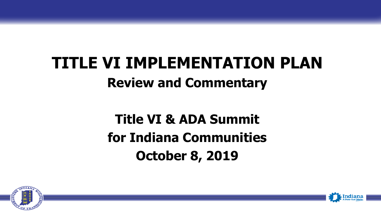# **TITLE VI IMPLEMENTATION PLAN Review and Commentary**

#### **Title VI & ADA Summit for Indiana Communities October 8, 2019**



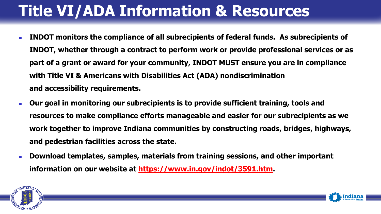## **Title VI/ADA Information & Resources**

- **INDOT monitors the compliance of all subrecipients of federal funds. As subrecipients of INDOT, whether through a contract to perform work or provide professional services or as part of a grant or award for your community, INDOT MUST ensure you are in compliance with Title VI & Americans with Disabilities Act (ADA) nondiscrimination and accessibility requirements.**
- **Dur goal in monitoring our subrecipients is to provide sufficient training, tools and resources to make compliance efforts manageable and easier for our subrecipients as we work together to improve Indiana communities by constructing roads, bridges, highways, and pedestrian facilities across the state.**
- **Download templates, samples, materials from training sessions, and other important information on our website at [https://www.in.gov/indot/3591.htm.](https://www.in.gov/indot/3591.htm)**



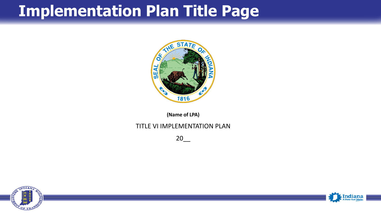#### **Implementation Plan Title Page**



**(Name of LPA)**

#### TITLE VI IMPLEMENTATION PLAN

 $20$ 



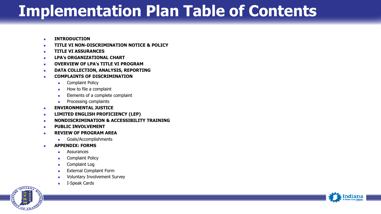#### **Implementation Plan Table of Contents**

- **EXECUTED INTRODUCTION**
- **TITLE VI NON-DISCRIMINATION NOTICE & POLICY**
- **TITLE VI ASSURANCES**
- **LPA's ORGANIZATIONAL CHART**
- **OVERVIEW OF LPA's TITLE VI PROGRAM**
- **BETARY COLLECTION, ANALYSIS, REPORTING**
- **COMPLAINTS OF DISCRIMINATION**
	- **Complaint Policy**
	- How to file a complaint
	- **Elements of a complete complaint**
	- **Processing complaints**
- **ENVIRONMENTAL JUSTICE**
- **LIMITED ENGLISH PROFICIENCY (LEP)**
- **NONDISCRIMINATION & ACCESSIBILITY TRAINING**
- **PUBLIC INVOLVEMENT**
- **REVIEW OF PROGRAM AREA**
	- Goals/Accomplishments
- **APPENDIX: FORMS**
	- **Assurances**
	- Complaint Policy
	- **Complaint Log**
	- External Complaint Form
	- Voluntary Involvement Survey
	- I-Speak Cards



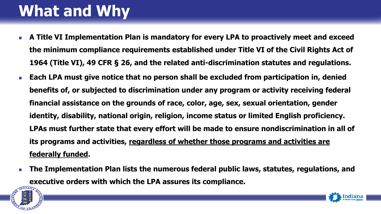# **What and Why**

- **A Title VI Implementation Plan is mandatory for every LPA to proactively meet and exceed the minimum compliance requirements established under Title VI of the Civil Rights Act of 1964 (Title VI), 49 CFR § 26, and the related anti-discrimination statutes and regulations.**
- **Each LPA must give notice that no person shall be excluded from participation in, denied benefits of, or subjected to discrimination under any program or activity receiving federal financial assistance on the grounds of race, color, age, sex, sexual orientation, gender identity, disability, national origin, religion, income status or limited English proficiency. LPAs must further state that every effort will be made to ensure nondiscrimination in all of its programs and activities, regardless of whether those programs and activities are federally funded.**
- **The Implementation Plan lists the numerous federal public laws, statutes, regulations, and executive orders with which the LPA assures its compliance.**

Indiana

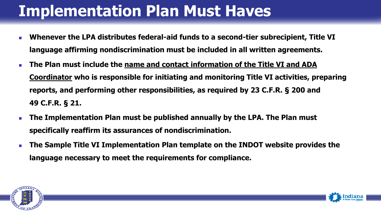## **Implementation Plan Must Haves**

- **Whenever the LPA distributes federal-aid funds to a second-tier subrecipient, Title VI language affirming nondiscrimination must be included in all written agreements.**
- **The Plan must include the name and contact information of the Title VI and ADA Coordinator who is responsible for initiating and monitoring Title VI activities, preparing reports, and performing other responsibilities, as required by 23 C.F.R. § 200 and 49 C.F.R. § 21.**
- **The Implementation Plan must be published annually by the LPA. The Plan must specifically reaffirm its assurances of nondiscrimination.**
- **The Sample Title VI Implementation Plan template on the INDOT website provides the language necessary to meet the requirements for compliance.**



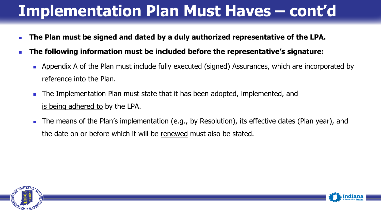### **Implementation Plan Must Haves – cont'd**

- **The Plan must be signed and dated by a duly authorized representative of the LPA.**
- **The following information must be included before the representative's signature:**
	- **Appendix A of the Plan must include fully executed (signed) Assurances, which are incorporated by** reference into the Plan.
	- The Implementation Plan must state that it has been adopted, implemented, and is being adhered to by the LPA.
	- The means of the Plan's implementation (e.g., by Resolution), its effective dates (Plan year), and the date on or before which it will be renewed must also be stated.



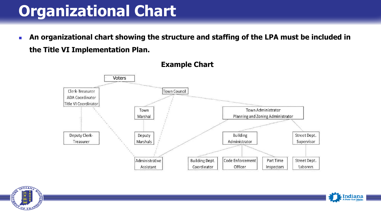### **Organizational Chart**

**An organizational chart showing the structure and staffing of the LPA must be included in the Title VI Implementation Plan.**





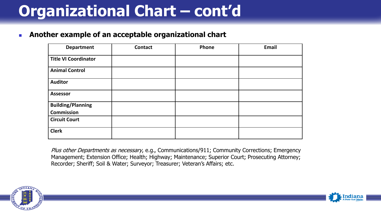## **Organizational Chart – cont'd**

#### **Another example of an acceptable organizational chart**

| <b>Department</b>           | <b>Contact</b> | Phone | <b>Email</b> |
|-----------------------------|----------------|-------|--------------|
| <b>Title VI Coordinator</b> |                |       |              |
| <b>Animal Control</b>       |                |       |              |
| <b>Auditor</b>              |                |       |              |
| <b>Assessor</b>             |                |       |              |
| <b>Building/Planning</b>    |                |       |              |
| <b>Commission</b>           |                |       |              |
| <b>Circuit Court</b>        |                |       |              |
| <b>Clerk</b>                |                |       |              |

Plus other Departments as necessary, e.g., Communications/911; Community Corrections; Emergency Management; Extension Office; Health; Highway; Maintenance; Superior Court; Prosecuting Attorney; Recorder; Sheriff; Soil & Water; Surveyor; Treasurer; Veteran's Affairs; etc.



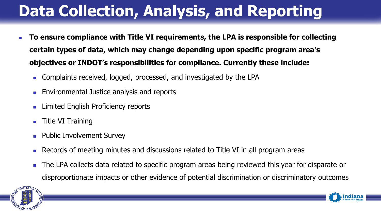# **Data Collection, Analysis, and Reporting**

- **To ensure compliance with Title VI requirements, the LPA is responsible for collecting certain types of data, which may change depending upon specific program area's objectives or INDOT's responsibilities for compliance. Currently these include:**
	- **Complaints received, logged, processed, and investigated by the LPA**
	- **Environmental Justice analysis and reports**
	- **Limited English Proficiency reports**
	- $\blacksquare$  Title VI Training
	- **Public Involvement Survey**
	- **Records of meeting minutes and discussions related to Title VI in all program areas**
	- The LPA collects data related to specific program areas being reviewed this year for disparate or disproportionate impacts or other evidence of potential discrimination or discriminatory outcomes



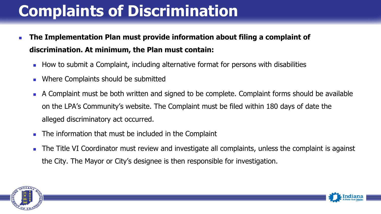# **Complaints of Discrimination**

- **The Implementation Plan must provide information about filing a complaint of discrimination. At minimum, the Plan must contain:**
	- **How to submit a Complaint, including alternative format for persons with disabilities**
	- **Notainally Music Should be submitted**
	- A Complaint must be both written and signed to be complete. Complaint forms should be available on the LPA's Community's website. The Complaint must be filed within 180 days of date the alleged discriminatory act occurred.
	- **The information that must be included in the Complaint**
	- The Title VI Coordinator must review and investigate all complaints, unless the complaint is against the City. The Mayor or City's designee is then responsible for investigation.



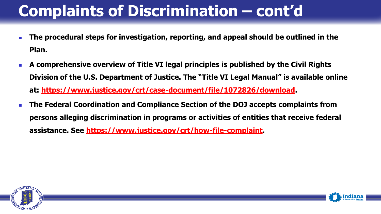## **Complaints of Discrimination – cont'd**

- **The procedural steps for investigation, reporting, and appeal should be outlined in the Plan.**
- **A comprehensive overview of Title VI legal principles is published by the Civil Rights Division of the U.S. Department of Justice. The "Title VI Legal Manual" is available online at: [https://www.justice.gov/crt/case-document/file/1072826/download.](https://www.justice.gov/crt/case-document/file/1072826/download)**
- **The Federal Coordination and Compliance Section of the DOJ accepts complaints from persons alleging discrimination in programs or activities of entities that receive federal assistance. See [https://www.justice.gov/crt/how-file-complaint.](https://www.justice.gov/crt/how-file-complaint)**



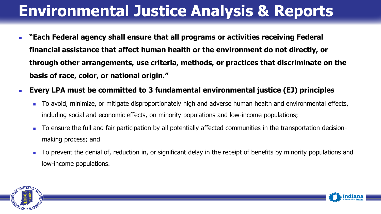## **Environmental Justice Analysis & Reports**

- **"Each Federal agency shall ensure that all programs or activities receiving Federal financial assistance that affect human health or the environment do not directly, or through other arrangements, use criteria, methods, or practices that discriminate on the basis of race, color, or national origin."**
- **Every LPA must be committed to 3 fundamental environmental justice (EJ) principles**
	- To avoid, minimize, or mitigate disproportionately high and adverse human health and environmental effects, including social and economic effects, on minority populations and low-income populations;
	- To ensure the full and fair participation by all potentially affected communities in the transportation decisionmaking process; and
	- To prevent the denial of, reduction in, or significant delay in the receipt of benefits by minority populations and low-income populations.



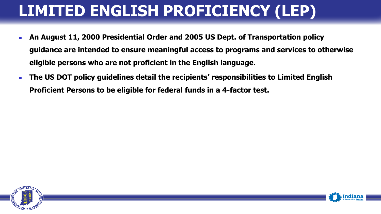# **LIMITED ENGLISH PROFICIENCY (LEP)**

- **An August 11, 2000 Presidential Order and 2005 US Dept. of Transportation policy guidance are intended to ensure meaningful access to programs and services to otherwise eligible persons who are not proficient in the English language.**
- **The US DOT policy guidelines detail the recipients' responsibilities to Limited English Proficient Persons to be eligible for federal funds in a 4-factor test.**



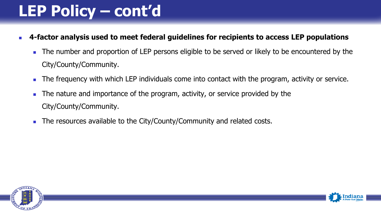## **LEP Policy – cont'd**

- **4-factor analysis used to meet federal guidelines for recipients to access LEP populations** 
	- The number and proportion of LEP persons eligible to be served or likely to be encountered by the City/County/Community.
	- The frequency with which LEP individuals come into contact with the program, activity or service.
	- The nature and importance of the program, activity, or service provided by the City/County/Community.
	- The resources available to the City/County/Community and related costs.

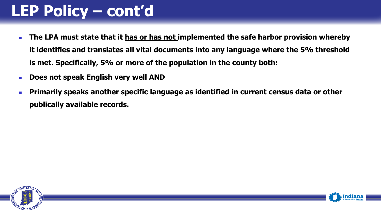### **LEP Policy – cont'd**

- **The LPA must state that it has or has not implemented the safe harbor provision whereby it identifies and translates all vital documents into any language where the 5% threshold is met. Specifically, 5% or more of the population in the county both:**
- **EXECT:** Does not speak English very well AND
- **Primarily speaks another specific language as identified in current census data or other publically available records.**



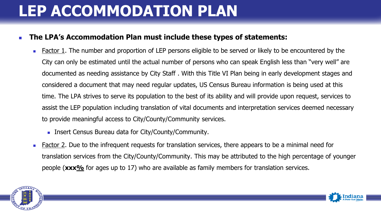### **LEP ACCOMMODATION PLAN**

#### **The LPA's Accommodation Plan must include these types of statements:**

- **Eactor 1.** The number and proportion of LEP persons eligible to be served or likely to be encountered by the City can only be estimated until the actual number of persons who can speak English less than "very well" are documented as needing assistance by City Staff . With this Title VI Plan being in early development stages and considered a document that may need regular updates, US Census Bureau information is being used at this time. The LPA strives to serve its population to the best of its ability and will provide upon request, services to assist the LEP population including translation of vital documents and interpretation services deemed necessary to provide meaningful access to City/County/Community services.
	- **Insert Census Bureau data for City/County/Community.**
- **Factor 2. Due to the infrequent requests for translation services, there appears to be a minimal need for** translation services from the City/County/Community. This may be attributed to the high percentage of younger people (**xxx%** for ages up to 17) who are available as family members for translation services.



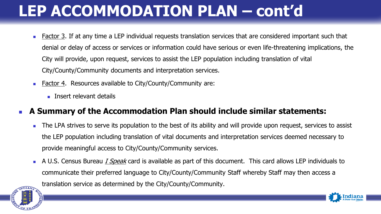## **LEP ACCOMMODATION PLAN – cont'd**

- **Eactor 3.** If at any time a LEP individual requests translation services that are considered important such that denial or delay of access or services or information could have serious or even life-threatening implications, the City will provide, upon request, services to assist the LEP population including translation of vital City/County/Community documents and interpretation services.
- **Factor 4. Resources available to City/County/Community are:** 
	- **Insert relevant details**

#### **A Summary of the Accommodation Plan should include similar statements:**

- The LPA strives to serve its population to the best of its ability and will provide upon request, services to assist the LEP population including translation of vital documents and interpretation services deemed necessary to provide meaningful access to City/County/Community services.
- A U.S. Census Bureau *I Speak* card is available as part of this document. This card allows LEP individuals to communicate their preferred language to City/County/Community Staff whereby Staff may then access a translation service as determined by the City/County/Community.



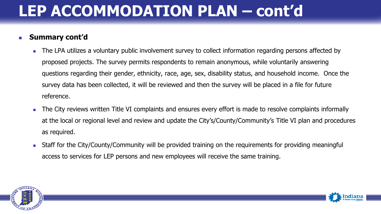#### **LEP ACCOMMODATION PLAN – cont'd**

#### **Summary cont'd**

- The LPA utilizes a voluntary public involvement survey to collect information regarding persons affected by proposed projects. The survey permits respondents to remain anonymous, while voluntarily answering questions regarding their gender, ethnicity, race, age, sex, disability status, and household income. Once the survey data has been collected, it will be reviewed and then the survey will be placed in a file for future reference.
- The City reviews written Title VI complaints and ensures every effort is made to resolve complaints informally at the local or regional level and review and update the City's/County/Community's Title VI plan and procedures as required.
- **Staff for the City/County/Community will be provided training on the requirements for providing meaningful Lang** access to services for LEP persons and new employees will receive the same training.



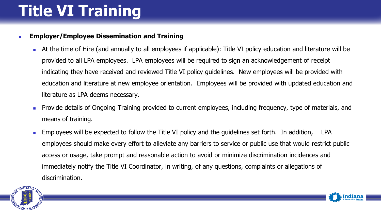# **Title VI Training**

#### **Employer/Employee Dissemination and Training**

- At the time of Hire (and annually to all employees if applicable): Title VI policy education and literature will be provided to all LPA employees. LPA employees will be required to sign an acknowledgement of receipt indicating they have received and reviewed Title VI policy guidelines. New employees will be provided with education and literature at new employee orientation. Employees will be provided with updated education and literature as LPA deems necessary.
- **Provide details of Ongoing Training provided to current employees, including frequency, type of materials, and** means of training.
- Employees will be expected to follow the Title VI policy and the guidelines set forth. In addition, LPA employees should make every effort to alleviate any barriers to service or public use that would restrict public access or usage, take prompt and reasonable action to avoid or minimize discrimination incidences and immediately notify the Title VI Coordinator, in writing, of any questions, complaints or allegations of discrimination.



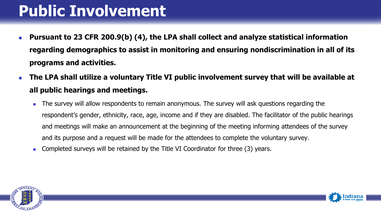#### **Public Involvement**

- **Pursuant to 23 CFR 200.9(b) (4), the LPA shall collect and analyze statistical information regarding demographics to assist in monitoring and ensuring nondiscrimination in all of its programs and activities.**
- **The LPA shall utilize a voluntary Title VI public involvement survey that will be available at all public hearings and meetings.** 
	- The survey will allow respondents to remain anonymous. The survey will ask questions regarding the respondent's gender, ethnicity, race, age, income and if they are disabled. The facilitator of the public hearings and meetings will make an announcement at the beginning of the meeting informing attendees of the survey and its purpose and a request will be made for the attendees to complete the voluntary survey.
	- **Completed surveys will be retained by the Title VI Coordinator for three (3) years.**



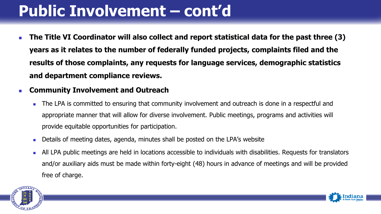### **Public Involvement – cont'd**

- **The Title VI Coordinator will also collect and report statistical data for the past three (3) years as it relates to the number of federally funded projects, complaints filed and the results of those complaints, any requests for language services, demographic statistics and department compliance reviews.**
- **Community Involvement and Outreach**
	- The LPA is committed to ensuring that community involvement and outreach is done in a respectful and appropriate manner that will allow for diverse involvement. Public meetings, programs and activities will provide equitable opportunities for participation.
	- **Details of meeting dates, agenda, minutes shall be posted on the LPA's website**
	- All LPA public meetings are held in locations accessible to individuals with disabilities. Requests for translators and/or auxiliary aids must be made within forty‐eight (48) hours in advance of meetings and will be provided free of charge.



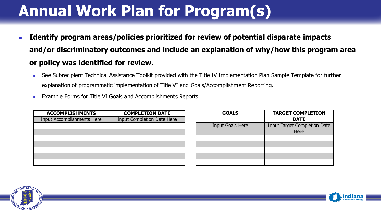## **Annual Work Plan for Program(s)**

- **IDENTIFY LIGENTY FROM THE IMPROX AT A THE IMPROX IS NOT THE IMPROYS IDENTY IS NOTEN FIGHTS IN THE IMPROYS and/or discriminatory outcomes and include an explanation of why/how this program area or policy was identified for review.** 
	- See Subrecipient Technical Assistance Toolkit provided with the Title IV Implementation Plan Sample Template for further explanation of programmatic implementation of Title VI and Goals/Accomplishment Reporting.
	- **Example Forms for Title VI Goals and Accomplishments Reports**

| <b>ACCOMPLISHMENTS</b>            | <b>COMPLETION DATE</b>            |  |
|-----------------------------------|-----------------------------------|--|
| <b>Input Accomplishments Here</b> | <b>Input Completion Date Here</b> |  |
|                                   |                                   |  |
|                                   |                                   |  |
|                                   |                                   |  |
|                                   |                                   |  |
|                                   |                                   |  |
|                                   |                                   |  |
|                                   |                                   |  |

| <b>GOALS</b>            | <b>TARGET COMPLETION</b><br><b>DATE</b>     |
|-------------------------|---------------------------------------------|
| <b>Input Goals Here</b> | <b>Input Target Completion Date</b><br>Here |
|                         |                                             |
|                         |                                             |
|                         |                                             |
|                         |                                             |



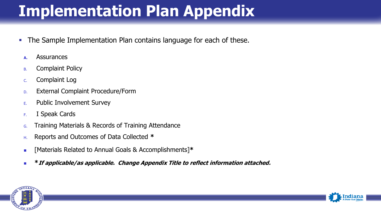## **Implementation Plan Appendix**

- **The Sample Implementation Plan contains language for each of these.** 
	- **A.** Assurances
	- B. Complaint Policy
	- C. Complaint Log
	- D. External Complaint Procedure/Form
	- E. Public Involvement Survey
	- F. I Speak Cards
	- G. Training Materials & Records of Training Attendance
	- H. Reports and Outcomes of Data Collected **\***
	- [Materials Related to Annual Goals & Accomplishments]**\***
	- **\*If applicable/as applicable. Change Appendix Title to reflect information attached.**